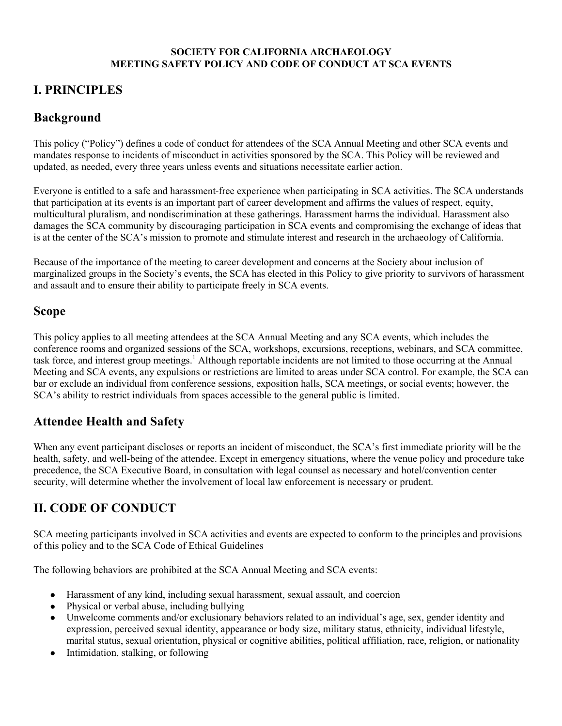#### **SOCIETY FOR CALIFORNIA ARCHAEOLOGY MEETING SAFETY POLICY AND CODE OF CONDUCT AT SCA EVENTS**

# **I. PRINCIPLES**

# **Background**

This policy ("Policy") defines a code of conduct for attendees of the SCA Annual Meeting and other SCA events and mandates response to incidents of misconduct in activities sponsored by the SCA. This Policy will be reviewed and updated, as needed, every three years unless events and situations necessitate earlier action.

Everyone is entitled to a safe and harassment-free experience when participating in SCA activities. The SCA understands that participation at its events is an important part of career development and affirms the values of respect, equity, multicultural pluralism, and nondiscrimination at these gatherings. Harassment harms the individual. Harassment also damages the SCA community by discouraging participation in SCA events and compromising the exchange of ideas that is at the center of the SCA's mission to promote and stimulate interest and research in the archaeology of California.

Because of the importance of the meeting to career development and concerns at the Society about inclusion of marginalized groups in the Society's events, the SCA has elected in this Policy to give priority to survivors of harassment and assault and to ensure their ability to participate freely in SCA events.

### **Scope**

This policy applies to all meeting attendees at the SCA Annual Meeting and any SCA events, which includes the conference rooms and organized sessions of the SCA, workshops, excursions, receptions, webinars, and SCA committee, task force, and interest group meetings.<sup>1</sup> Although reportable incidents are not limited to those occurring at the Annual Meeting and SCA events, any expulsions or restrictions are limited to areas under SCA control. For example, the SCA can bar or exclude an individual from conference sessions, exposition halls, SCA meetings, or social events; however, the SCA's ability to restrict individuals from spaces accessible to the general public is limited.

## **Attendee Health and Safety**

When any event participant discloses or reports an incident of misconduct, the SCA's first immediate priority will be the health, safety, and well-being of the attendee. Except in emergency situations, where the venue policy and procedure take precedence, the SCA Executive Board, in consultation with legal counsel as necessary and hotel/convention center security, will determine whether the involvement of local law enforcement is necessary or prudent.

# **II. CODE OF CONDUCT**

SCA meeting participants involved in SCA activities and events are expected to conform to the principles and provisions of this policy and to the SCA Code of Ethical Guidelines

The following behaviors are prohibited at the SCA Annual Meeting and SCA events:

- Harassment of any kind, including sexual harassment, sexual assault, and coercion
- Physical or verbal abuse, including bullying
- Unwelcome comments and/or exclusionary behaviors related to an individual's age, sex, gender identity and expression, perceived sexual identity, appearance or body size, military status, ethnicity, individual lifestyle, marital status, sexual orientation, physical or cognitive abilities, political affiliation, race, religion, or nationality
- Intimidation, stalking, or following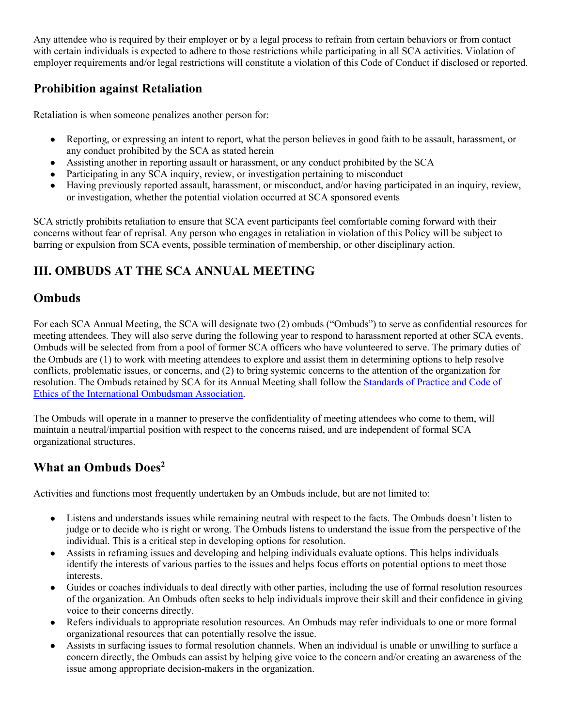Any attendee who is required by their employer or by a legal process to refrain from certain behaviors or from contact with certain individuals is expected to adhere to those restrictions while participating in all SCA activities. Violation of employer requirements and/or legal restrictions will constitute a violation of this Code of Conduct if disclosed or reported.

### **Prohibition against Retaliation**

Retaliation is when someone penalizes another person for:

- Reporting, or expressing an intent to report, what the person believes in good faith to be assault, harassment, or any conduct prohibited by the SCA as stated herein
- Assisting another in reporting assault or harassment, or any conduct prohibited by the SCA
- Participating in any SCA inquiry, review, or investigation pertaining to misconduct
- Having previously reported assault, harassment, or misconduct, and/or having participated in an inquiry, review, or investigation, whether the potential violation occurred at SCA sponsored events

SCA strictly prohibits retaliation to ensure that SCA event participants feel comfortable coming forward with their concerns without fear of reprisal. Any person who engages in retaliation in violation of this Policy will be subject to barring or expulsion from SCA events, possible termination of membership, or other disciplinary action.

# **III. OMBUDS AT THE SCA ANNUAL MEETING**

### **Ombuds**

For each SCA Annual Meeting, the SCA will designate two (2) ombuds ("Ombuds") to serve as confidential resources for meeting attendees. They will also serve during the following year to respond to harassment reported at other SCA events. Ombuds will be selected from from a pool of former SCA officers who have volunteered to serve. The primary duties of the Ombuds are (1) to work with meeting attendees to explore and assist them in determining options to help resolve conflicts, problematic issues, or concerns, and (2) to bring systemic concerns to the attention of the organization for resolution. The Ombuds retained by SCA for its Annual Meeting shall follow the Standards of Practice and Code of Ethics of the International Ombudsman Association.

The Ombuds will operate in a manner to preserve the confidentiality of meeting attendees who come to them, will maintain a neutral/impartial position with respect to the concerns raised, and are independent of formal SCA organizational structures.

## **What an Ombuds Does2**

Activities and functions most frequently undertaken by an Ombuds include, but are not limited to:

- Listens and understands issues while remaining neutral with respect to the facts. The Ombuds doesn't listen to judge or to decide who is right or wrong. The Ombuds listens to understand the issue from the perspective of the individual. This is a critical step in developing options for resolution.
- Assists in reframing issues and developing and helping individuals evaluate options. This helps individuals identify the interests of various parties to the issues and helps focus efforts on potential options to meet those interests.
- Guides or coaches individuals to deal directly with other parties, including the use of formal resolution resources of the organization. An Ombuds often seeks to help individuals improve their skill and their confidence in giving voice to their concerns directly.
- Refers individuals to appropriate resolution resources. An Ombuds may refer individuals to one or more formal organizational resources that can potentially resolve the issue.
- Assists in surfacing issues to formal resolution channels. When an individual is unable or unwilling to surface a concern directly, the Ombuds can assist by helping give voice to the concern and/or creating an awareness of the issue among appropriate decision-makers in the organization.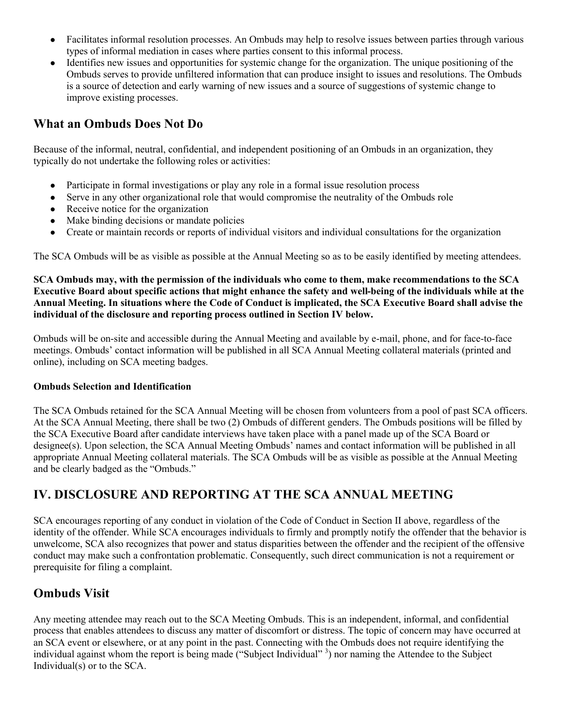- Facilitates informal resolution processes. An Ombuds may help to resolve issues between parties through various types of informal mediation in cases where parties consent to this informal process.
- Identifies new issues and opportunities for systemic change for the organization. The unique positioning of the Ombuds serves to provide unfiltered information that can produce insight to issues and resolutions. The Ombuds is a source of detection and early warning of new issues and a source of suggestions of systemic change to improve existing processes.

### **What an Ombuds Does Not Do**

Because of the informal, neutral, confidential, and independent positioning of an Ombuds in an organization, they typically do not undertake the following roles or activities:

- Participate in formal investigations or play any role in a formal issue resolution process
- Serve in any other organizational role that would compromise the neutrality of the Ombuds role
- Receive notice for the organization
- Make binding decisions or mandate policies
- Create or maintain records or reports of individual visitors and individual consultations for the organization

The SCA Ombuds will be as visible as possible at the Annual Meeting so as to be easily identified by meeting attendees.

**SCA Ombuds may, with the permission of the individuals who come to them, make recommendations to the SCA Executive Board about specific actions that might enhance the safety and well-being of the individuals while at the Annual Meeting. In situations where the Code of Conduct is implicated, the SCA Executive Board shall advise the individual of the disclosure and reporting process outlined in Section IV below.**

Ombuds will be on-site and accessible during the Annual Meeting and available by e-mail, phone, and for face-to-face meetings. Ombuds' contact information will be published in all SCA Annual Meeting collateral materials (printed and online), including on SCA meeting badges.

#### **Ombuds Selection and Identification**

The SCA Ombuds retained for the SCA Annual Meeting will be chosen from volunteers from a pool of past SCA officers. At the SCA Annual Meeting, there shall be two (2) Ombuds of different genders. The Ombuds positions will be filled by the SCA Executive Board after candidate interviews have taken place with a panel made up of the SCA Board or designee(s). Upon selection, the SCA Annual Meeting Ombuds' names and contact information will be published in all appropriate Annual Meeting collateral materials. The SCA Ombuds will be as visible as possible at the Annual Meeting and be clearly badged as the "Ombuds."

## **IV. DISCLOSURE AND REPORTING AT THE SCA ANNUAL MEETING**

SCA encourages reporting of any conduct in violation of the Code of Conduct in Section II above, regardless of the identity of the offender. While SCA encourages individuals to firmly and promptly notify the offender that the behavior is unwelcome, SCA also recognizes that power and status disparities between the offender and the recipient of the offensive conduct may make such a confrontation problematic. Consequently, such direct communication is not a requirement or prerequisite for filing a complaint.

## **Ombuds Visit**

Any meeting attendee may reach out to the SCA Meeting Ombuds. This is an independent, informal, and confidential process that enables attendees to discuss any matter of discomfort or distress. The topic of concern may have occurred at an SCA event or elsewhere, or at any point in the past. Connecting with the Ombuds does not require identifying the individual against whom the report is being made ("Subject Individual" 3) nor naming the Attendee to the Subject Individual(s) or to the SCA.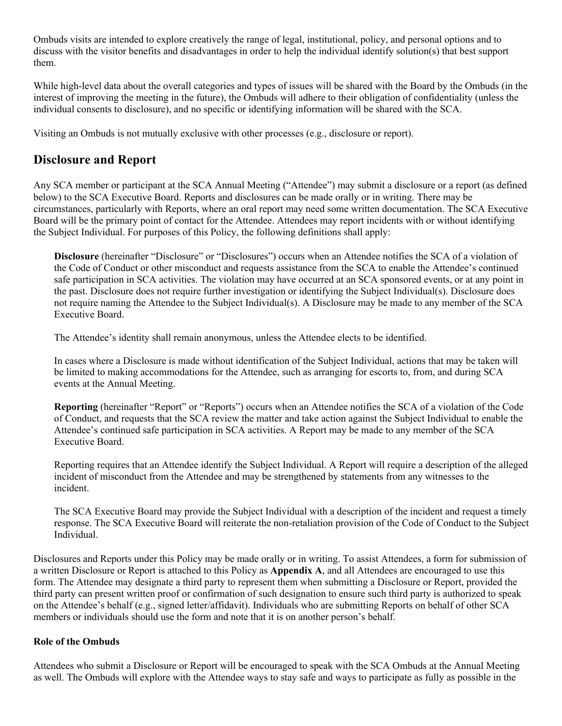Ombuds visits are intended to explore creatively the range of legal, institutional, policy, and personal options and to discuss with the visitor benefits and disadvantages in order to help the individual identify solution(s) that best support them.

While high-level data about the overall categories and types of issues will be shared with the Board by the Ombuds (in the interest of improving the meeting in the future), the Ombuds will adhere to their obligation of confidentiality (unless the individual consents to disclosure), and no specific or identifying information will be shared with the SCA.

Visiting an Ombuds is not mutually exclusive with other processes (e.g., disclosure or report).

### **Disclosure and Report**

Any SCA member or participant at the SCA Annual Meeting ("Attendee") may submit a disclosure or a report (as defined below) to the SCA Executive Board. Reports and disclosures can be made orally or in writing. There may be circumstances, particularly with Reports, where an oral report may need some written documentation. The SCA Executive Board will be the primary point of contact for the Attendee. Attendees may report incidents with or without identifying the Subject Individual. For purposes of this Policy, the following definitions shall apply:

**Disclosure** (hereinafter "Disclosure" or "Disclosures") occurs when an Attendee notifies the SCA of a violation of the Code of Conduct or other misconduct and requests assistance from the SCA to enable the Attendee's continued safe participation in SCA activities. The violation may have occurred at an SCA sponsored events, or at any point in the past. Disclosure does not require further investigation or identifying the Subject Individual(s). Disclosure does not require naming the Attendee to the Subject Individual(s). A Disclosure may be made to any member of the SCA Executive Board.

The Attendee's identity shall remain anonymous, unless the Attendee elects to be identified.

In cases where a Disclosure is made without identification of the Subject Individual, actions that may be taken will be limited to making accommodations for the Attendee, such as arranging for escorts to, from, and during SCA events at the Annual Meeting.

**Reporting** (hereinafter "Report" or "Reports") occurs when an Attendee notifies the SCA of a violation of the Code of Conduct, and requests that the SCA review the matter and take action against the Subject Individual to enable the Attendee's continued safe participation in SCA activities. A Report may be made to any member of the SCA Executive Board.

Reporting requires that an Attendee identify the Subject Individual. A Report will require a description of the alleged incident of misconduct from the Attendee and may be strengthened by statements from any witnesses to the incident.

The SCA Executive Board may provide the Subject Individual with a description of the incident and request a timely response. The SCA Executive Board will reiterate the non-retaliation provision of the Code of Conduct to the Subject Individual.

Disclosures and Reports under this Policy may be made orally or in writing. To assist Attendees, a form for submission of a written Disclosure or Report is attached to this Policy as **Appendix A**, and all Attendees are encouraged to use this form. The Attendee may designate a third party to represent them when submitting a Disclosure or Report, provided the third party can present written proof or confirmation of such designation to ensure such third party is authorized to speak on the Attendee's behalf (e.g., signed letter/affidavit). Individuals who are submitting Reports on behalf of other SCA members or individuals should use the form and note that it is on another person's behalf.

#### **Role of the Ombuds**

Attendees who submit a Disclosure or Report will be encouraged to speak with the SCA Ombuds at the Annual Meeting as well. The Ombuds will explore with the Attendee ways to stay safe and ways to participate as fully as possible in the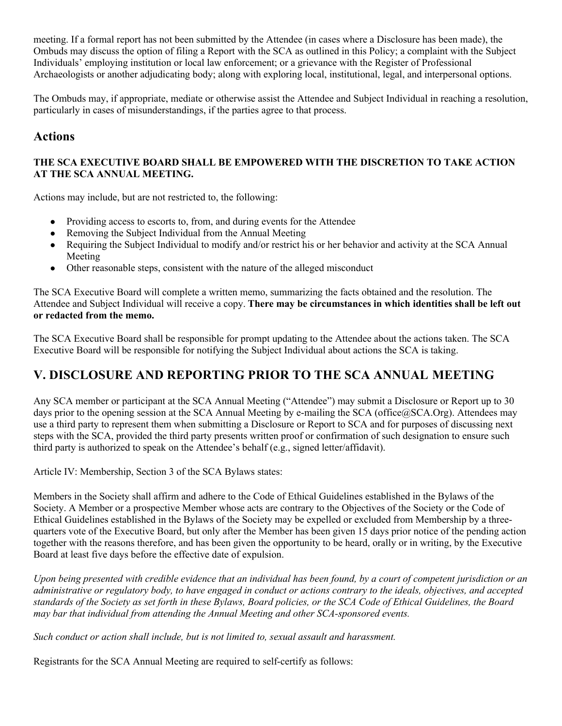meeting. If a formal report has not been submitted by the Attendee (in cases where a Disclosure has been made), the Ombuds may discuss the option of filing a Report with the SCA as outlined in this Policy; a complaint with the Subject Individuals' employing institution or local law enforcement; or a grievance with the Register of Professional Archaeologists or another adjudicating body; along with exploring local, institutional, legal, and interpersonal options.

The Ombuds may, if appropriate, mediate or otherwise assist the Attendee and Subject Individual in reaching a resolution, particularly in cases of misunderstandings, if the parties agree to that process.

### **Actions**

#### **THE SCA EXECUTIVE BOARD SHALL BE EMPOWERED WITH THE DISCRETION TO TAKE ACTION AT THE SCA ANNUAL MEETING.**

Actions may include, but are not restricted to, the following:

- Providing access to escorts to, from, and during events for the Attendee
- Removing the Subject Individual from the Annual Meeting
- Requiring the Subject Individual to modify and/or restrict his or her behavior and activity at the SCA Annual Meeting
- Other reasonable steps, consistent with the nature of the alleged misconduct

The SCA Executive Board will complete a written memo, summarizing the facts obtained and the resolution. The Attendee and Subject Individual will receive a copy. **There may be circumstances in which identities shall be left out or redacted from the memo.**

The SCA Executive Board shall be responsible for prompt updating to the Attendee about the actions taken. The SCA Executive Board will be responsible for notifying the Subject Individual about actions the SCA is taking.

## **V. DISCLOSURE AND REPORTING PRIOR TO THE SCA ANNUAL MEETING**

Any SCA member or participant at the SCA Annual Meeting ("Attendee") may submit a Disclosure or Report up to 30 days prior to the opening session at the SCA Annual Meeting by e-mailing the SCA (office@SCA.Org). Attendees may use a third party to represent them when submitting a Disclosure or Report to SCA and for purposes of discussing next steps with the SCA, provided the third party presents written proof or confirmation of such designation to ensure such third party is authorized to speak on the Attendee's behalf (e.g., signed letter/affidavit).

Article IV: Membership, Section 3 of the SCA Bylaws states:

Members in the Society shall affirm and adhere to the Code of Ethical Guidelines established in the Bylaws of the Society. A Member or a prospective Member whose acts are contrary to the Objectives of the Society or the Code of Ethical Guidelines established in the Bylaws of the Society may be expelled or excluded from Membership by a threequarters vote of the Executive Board, but only after the Member has been given 15 days prior notice of the pending action together with the reasons therefore, and has been given the opportunity to be heard, orally or in writing, by the Executive Board at least five days before the effective date of expulsion.

*Upon being presented with credible evidence that an individual has been found, by a court of competent jurisdiction or an administrative or regulatory body, to have engaged in conduct or actions contrary to the ideals, objectives, and accepted standards of the Society as set forth in these Bylaws, Board policies, or the SCA Code of Ethical Guidelines, the Board may bar that individual from attending the Annual Meeting and other SCA-sponsored events.*

*Such conduct or action shall include, but is not limited to, sexual assault and harassment.*

Registrants for the SCA Annual Meeting are required to self-certify as follows: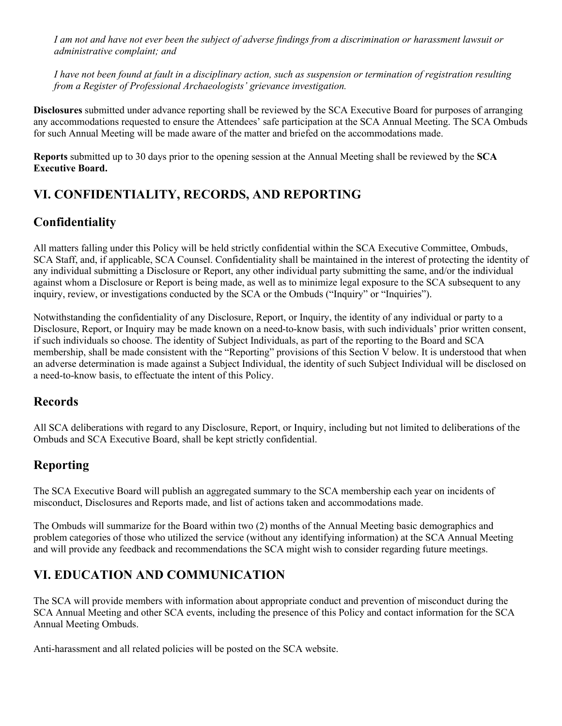*I am not and have not ever been the subject of adverse findings from a discrimination or harassment lawsuit or administrative complaint; and*

*I have not been found at fault in a disciplinary action, such as suspension or termination of registration resulting from a Register of Professional Archaeologists' grievance investigation.*

**Disclosures** submitted under advance reporting shall be reviewed by the SCA Executive Board for purposes of arranging any accommodations requested to ensure the Attendees' safe participation at the SCA Annual Meeting. The SCA Ombuds for such Annual Meeting will be made aware of the matter and briefed on the accommodations made.

**Reports** submitted up to 30 days prior to the opening session at the Annual Meeting shall be reviewed by the **SCA Executive Board.**

# **VI. CONFIDENTIALITY, RECORDS, AND REPORTING**

### **Confidentiality**

All matters falling under this Policy will be held strictly confidential within the SCA Executive Committee, Ombuds, SCA Staff, and, if applicable, SCA Counsel. Confidentiality shall be maintained in the interest of protecting the identity of any individual submitting a Disclosure or Report, any other individual party submitting the same, and/or the individual against whom a Disclosure or Report is being made, as well as to minimize legal exposure to the SCA subsequent to any inquiry, review, or investigations conducted by the SCA or the Ombuds ("Inquiry" or "Inquiries").

Notwithstanding the confidentiality of any Disclosure, Report, or Inquiry, the identity of any individual or party to a Disclosure, Report, or Inquiry may be made known on a need-to-know basis, with such individuals' prior written consent, if such individuals so choose. The identity of Subject Individuals, as part of the reporting to the Board and SCA membership, shall be made consistent with the "Reporting" provisions of this Section V below. It is understood that when an adverse determination is made against a Subject Individual, the identity of such Subject Individual will be disclosed on a need-to-know basis, to effectuate the intent of this Policy.

### **Records**

All SCA deliberations with regard to any Disclosure, Report, or Inquiry, including but not limited to deliberations of the Ombuds and SCA Executive Board, shall be kept strictly confidential.

# **Reporting**

The SCA Executive Board will publish an aggregated summary to the SCA membership each year on incidents of misconduct, Disclosures and Reports made, and list of actions taken and accommodations made.

The Ombuds will summarize for the Board within two (2) months of the Annual Meeting basic demographics and problem categories of those who utilized the service (without any identifying information) at the SCA Annual Meeting and will provide any feedback and recommendations the SCA might wish to consider regarding future meetings.

# **VI. EDUCATION AND COMMUNICATION**

The SCA will provide members with information about appropriate conduct and prevention of misconduct during the SCA Annual Meeting and other SCA events, including the presence of this Policy and contact information for the SCA Annual Meeting Ombuds.

Anti-harassment and all related policies will be posted on the SCA website.